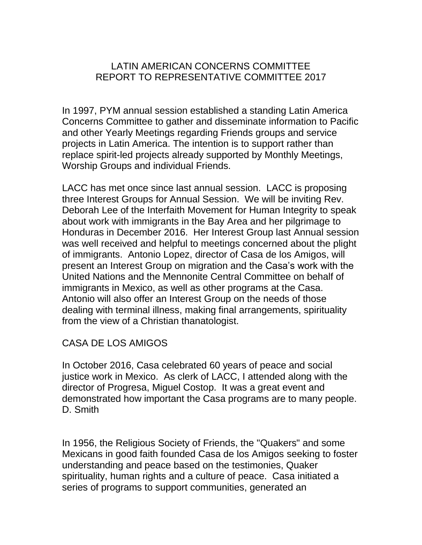## LATIN AMERICAN CONCERNS COMMITTEE REPORT TO REPRESENTATIVE COMMITTEE 2017

In 1997, PYM annual session established a standing Latin America Concerns Committee to gather and disseminate information to Pacific and other Yearly Meetings regarding Friends groups and service projects in Latin America. The intention is to support rather than replace spirit-led projects already supported by Monthly Meetings, Worship Groups and individual Friends.

LACC has met once since last annual session. LACC is proposing three Interest Groups for Annual Session. We will be inviting Rev. Deborah Lee of the Interfaith Movement for Human Integrity to speak about work with immigrants in the Bay Area and her pilgrimage to Honduras in December 2016. Her Interest Group last Annual session was well received and helpful to meetings concerned about the plight of immigrants. Antonio Lopez, director of Casa de los Amigos, will present an Interest Group on migration and the Casa's work with the United Nations and the Mennonite Central Committee on behalf of immigrants in Mexico, as well as other programs at the Casa. Antonio will also offer an Interest Group on the needs of those dealing with terminal illness, making final arrangements, spirituality from the view of a Christian thanatologist.

## CASA DE LOS AMIGOS

In October 2016, Casa celebrated 60 years of peace and social justice work in Mexico. As clerk of LACC, I attended along with the director of Progresa, Miguel Costop. It was a great event and demonstrated how important the Casa programs are to many people. D. Smith

In 1956, the Religious Society of Friends, the "Quakers" and some Mexicans in good faith founded Casa de los Amigos seeking to foster understanding and peace based on the testimonies, Quaker spirituality, human rights and a culture of peace. Casa initiated a series of programs to support communities, generated an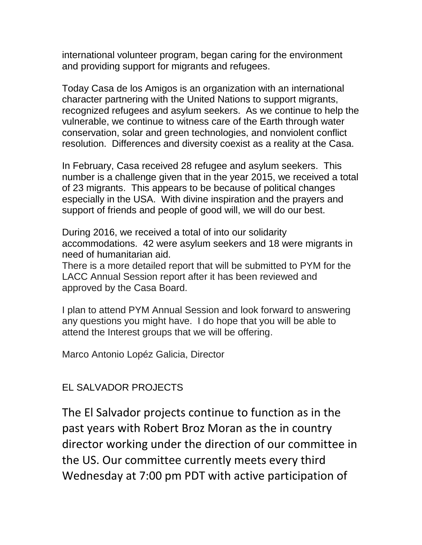international volunteer program, began caring for the environment and providing support for migrants and refugees.

Today Casa de los Amigos is an organization with an international character partnering with the United Nations to support migrants, recognized refugees and asylum seekers. As we continue to help the vulnerable, we continue to witness care of the Earth through water conservation, solar and green technologies, and nonviolent conflict resolution. Differences and diversity coexist as a reality at the Casa.

In February, Casa received 28 refugee and asylum seekers. This number is a challenge given that in the year 2015, we received a total of 23 migrants. This appears to be because of political changes especially in the USA. With divine inspiration and the prayers and support of friends and people of good will, we will do our best.

During 2016, we received a total of into our solidarity accommodations. 42 were asylum seekers and 18 were migrants in need of humanitarian aid.

There is a more detailed report that will be submitted to PYM for the LACC Annual Session report after it has been reviewed and approved by the Casa Board.

I plan to attend PYM Annual Session and look forward to answering any questions you might have. I do hope that you will be able to attend the Interest groups that we will be offering.

Marco Antonio Lopéz Galicia, Director

EL SALVADOR PROJECTS

The El Salvador projects continue to function as in the past years with Robert Broz Moran as the in country director working under the direction of our committee in the US. Our committee currently meets every third Wednesday at 7:00 pm PDT with active participation of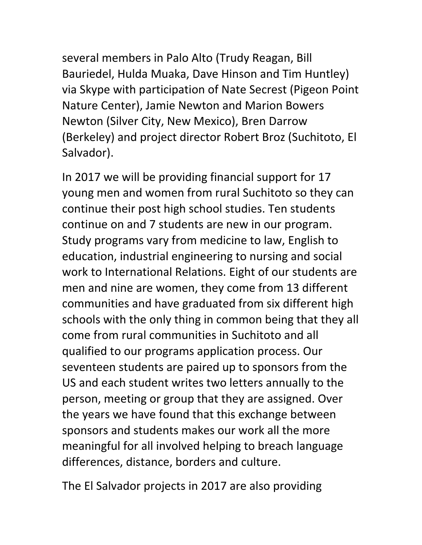several members in Palo Alto (Trudy Reagan, Bill Bauriedel, Hulda Muaka, Dave Hinson and Tim Huntley) via Skype with participation of Nate Secrest (Pigeon Point Nature Center), Jamie Newton and Marion Bowers Newton (Silver City, New Mexico), Bren Darrow (Berkeley) and project director Robert Broz (Suchitoto, El Salvador).

In 2017 we will be providing financial support for 17 young men and women from rural Suchitoto so they can continue their post high school studies. Ten students continue on and 7 students are new in our program. Study programs vary from medicine to law, English to education, industrial engineering to nursing and social work to International Relations. Eight of our students are men and nine are women, they come from 13 different communities and have graduated from six different high schools with the only thing in common being that they all come from rural communities in Suchitoto and all qualified to our programs application process. Our seventeen students are paired up to sponsors from the US and each student writes two letters annually to the person, meeting or group that they are assigned. Over the years we have found that this exchange between sponsors and students makes our work all the more meaningful for all involved helping to breach language differences, distance, borders and culture.

The El Salvador projects in 2017 are also providing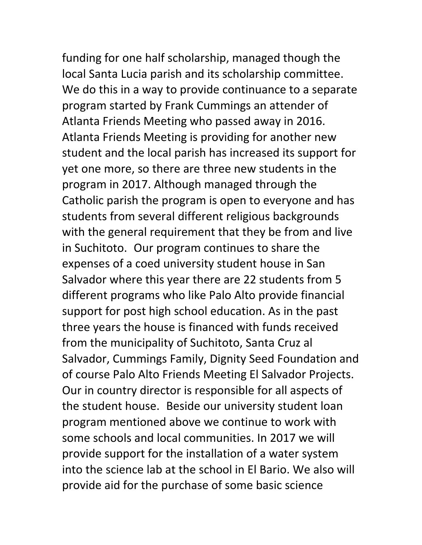funding for one half scholarship, managed though the local Santa Lucia parish and its scholarship committee. We do this in a way to provide continuance to a separate program started by Frank Cummings an attender of Atlanta Friends Meeting who passed away in 2016. Atlanta Friends Meeting is providing for another new student and the local parish has increased its support for yet one more, so there are three new students in the program in 2017. Although managed through the Catholic parish the program is open to everyone and has students from several different religious backgrounds with the general requirement that they be from and live in Suchitoto. Our program continues to share the expenses of a coed university student house in San Salvador where this year there are 22 students from 5 different programs who like Palo Alto provide financial support for post high school education. As in the past three years the house is financed with funds received from the municipality of Suchitoto, Santa Cruz al Salvador, Cummings Family, Dignity Seed Foundation and of course Palo Alto Friends Meeting El Salvador Projects. Our in country director is responsible for all aspects of the student house. Beside our university student loan program mentioned above we continue to work with some schools and local communities. In 2017 we will provide support for the installation of a water system into the science lab at the school in El Bario. We also will provide aid for the purchase of some basic science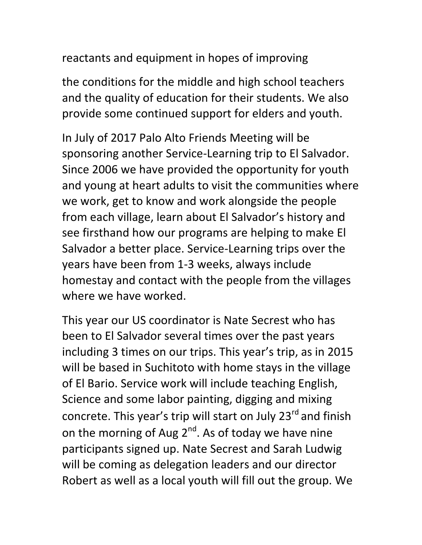reactants and equipment in hopes of improving

the conditions for the middle and high school teachers and the quality of education for their students. We also provide some continued support for elders and youth.

In July of 2017 Palo Alto Friends Meeting will be sponsoring another Service-Learning trip to El Salvador. Since 2006 we have provided the opportunity for youth and young at heart adults to visit the communities where we work, get to know and work alongside the people from each village, learn about El Salvador's history and see firsthand how our programs are helping to make El Salvador a better place. Service-Learning trips over the years have been from 1-3 weeks, always include homestay and contact with the people from the villages where we have worked.

This year our US coordinator is Nate Secrest who has been to El Salvador several times over the past years including 3 times on our trips. This year's trip, as in 2015 will be based in Suchitoto with home stays in the village of El Bario. Service work will include teaching English, Science and some labor painting, digging and mixing concrete. This year's trip will start on July 23<sup>rd</sup> and finish on the morning of Aug 2<sup>nd</sup>. As of today we have nine participants signed up. Nate Secrest and Sarah Ludwig will be coming as delegation leaders and our director Robert as well as a local youth will fill out the group. We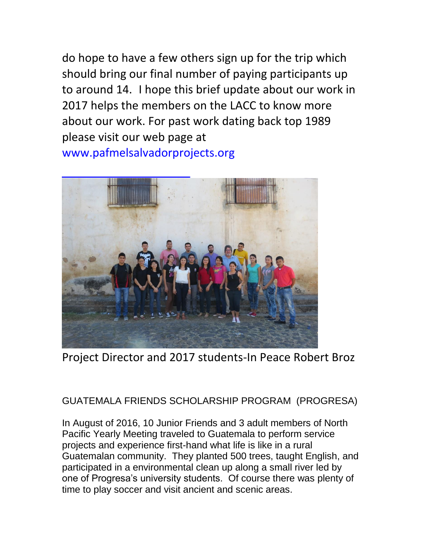do hope to have a few others sign up for the trip which should bring our final number of paying participants up to around 14. I hope this brief update about our work in 2017 helps the members on the LACC to know more about our work. For past work dating back top 1989 please visit our web page at

www.pafmelsalvadorprojects.org



Project Director and 2017 students-In Peace Robert Broz

GUATEMALA FRIENDS SCHOLARSHIP PROGRAM (PROGRESA)

In August of 2016, 10 Junior Friends and 3 adult members of North Pacific Yearly Meeting traveled to Guatemala to perform service projects and experience first-hand what life is like in a rural Guatemalan community. They planted 500 trees, taught English, and participated in a environmental clean up along a small river led by one of Progresa's university students. Of course there was plenty of time to play soccer and visit ancient and scenic areas.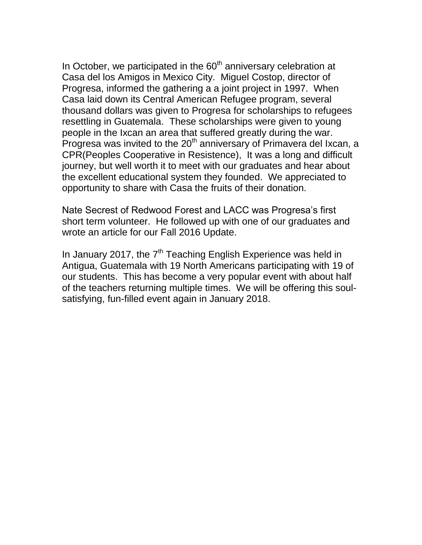In October, we participated in the  $60<sup>th</sup>$  anniversary celebration at Casa del los Amigos in Mexico City. Miguel Costop, director of Progresa, informed the gathering a a joint project in 1997. When Casa laid down its Central American Refugee program, several thousand dollars was given to Progresa for scholarships to refugees resettling in Guatemala. These scholarships were given to young people in the Ixcan an area that suffered greatly during the war. Progresa was invited to the 20<sup>th</sup> anniversary of Primavera del Ixcan, a CPR(Peoples Cooperative in Resistence), It was a long and difficult journey, but well worth it to meet with our graduates and hear about the excellent educational system they founded. We appreciated to opportunity to share with Casa the fruits of their donation.

Nate Secrest of Redwood Forest and LACC was Progresa's first short term volunteer. He followed up with one of our graduates and wrote an article for our Fall 2016 Update.

In January 2017, the  $7<sup>th</sup>$  Teaching English Experience was held in Antigua, Guatemala with 19 North Americans participating with 19 of our students. This has become a very popular event with about half of the teachers returning multiple times. We will be offering this soulsatisfying, fun-filled event again in January 2018.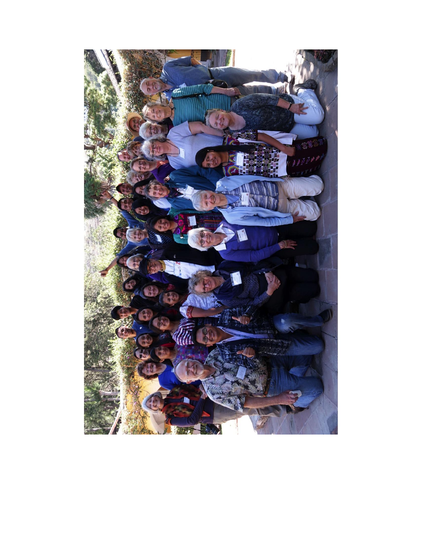